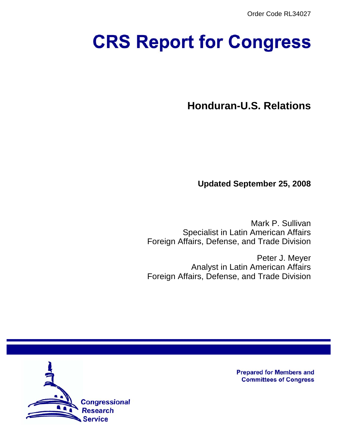Order Code RL34027

# **CRS Report for Congress**

**Honduran-U.S. Relations**

**Updated September 25, 2008**

Mark P. Sullivan Specialist in Latin American Affairs Foreign Affairs, Defense, and Trade Division

Peter J. Meyer Analyst in Latin American Affairs Foreign Affairs, Defense, and Trade Division



**Prepared for Members and Committees of Congress**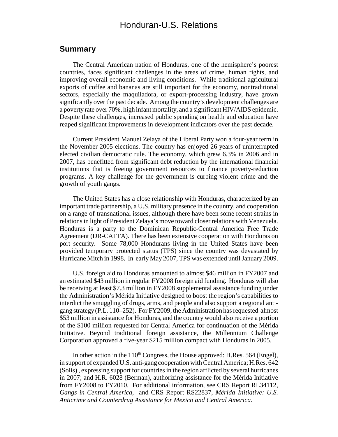# Honduran-U.S. Relations

#### **Summary**

The Central American nation of Honduras, one of the hemisphere's poorest countries, faces significant challenges in the areas of crime, human rights, and improving overall economic and living conditions. While traditional agricultural exports of coffee and bananas are still important for the economy, nontraditional sectors, especially the maquiladora, or export-processing industry, have grown significantly over the past decade. Among the country's development challenges are a poverty rate over 70%, high infant mortality, and a significant HIV/AIDS epidemic. Despite these challenges, increased public spending on health and education have reaped significant improvements in development indicators over the past decade.

Current President Manuel Zelaya of the Liberal Party won a four-year term in the November 2005 elections. The country has enjoyed 26 years of uninterrupted elected civilian democratic rule. The economy, which grew 6.3% in 2006 and in 2007, has benefitted from significant debt reduction by the international financial institutions that is freeing government resources to finance poverty-reduction programs. A key challenge for the government is curbing violent crime and the growth of youth gangs.

The United States has a close relationship with Honduras, characterized by an important trade partnership, a U.S. military presence in the country, and cooperation on a range of transnational issues, although there have been some recent strains in relations in light of President Zelaya's move toward closer relations with Venezuela. Honduras is a party to the Dominican Republic-Central America Free Trade Agreement (DR-CAFTA). There has been extensive cooperation with Honduras on port security. Some 78,000 Hondurans living in the United States have been provided temporary protected status (TPS) since the country was devastated by Hurricane Mitch in 1998. In early May 2007, TPS was extended until January 2009.

U.S. foreign aid to Honduras amounted to almost \$46 million in FY2007 and an estimated \$43 million in regular FY2008 foreign aid funding. Honduras will also be receiving at least \$7.3 million in FY2008 supplemental assistance funding under the Administration's Mérida Initiative designed to boost the region's capabilities to interdict the smuggling of drugs, arms, and people and also support a regional antigang strategy (P.L. 110–252). For FY2009, the Administration has requested almost \$53 million in assistance for Honduras, and the country would also receive a portion of the \$100 million requested for Central America for continuation of the Mérida Initiative. Beyond traditional foreign assistance, the Millennium Challenge Corporation approved a five-year \$215 million compact with Honduras in 2005.

In other action in the  $110^{th}$  Congress, the House approved: H.Res. 564 (Engel), in support of expanded U.S. anti-gang cooperation with Central America; H.Res. 642 (Solis) , expressing support for countries in the region afflicted by several hurricanes in 2007; and H.R. 6028 (Berman), authorizing assistance for the Mérida Initiative from FY2008 to FY2010. For additional information, see CRS Report RL34112, *Gangs in Central America*, and CRS Report RS22837, *Mérida Initiative: U.S. Anticrime and Counterdrug Assistance for Mexico and Central America*.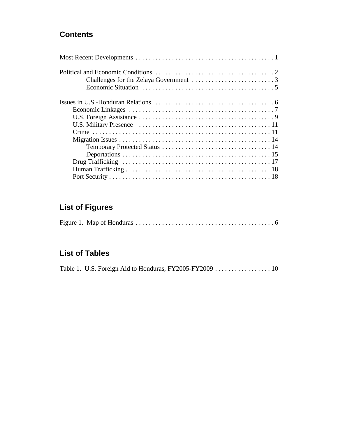# **Contents**

# **List of Figures**

|--|--|--|

# **List of Tables**

|--|--|--|--|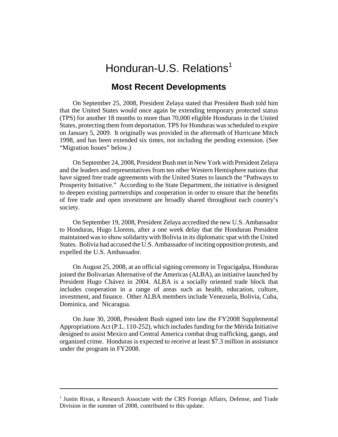# Honduran-U.S. Relations<sup>1</sup>

## **Most Recent Developments**

On September 25, 2008, President Zelaya stated that President Bush told him that the United States would once again be extending temporary protected status (TPS) for another 18 months to more than 70,000 eligible Hondurans in the United States, protecting them from deportation. TPS for Honduras was scheduled to expire on January 5, 2009. It originally was provided in the aftermath of Hurricane Mitch 1998, and has been extended six times, not including the pending extension. (See "Migration Issues" below.)

On September 24, 2008, President Bush met in New York with President Zelaya and the leaders and representatives from ten other Western Hemisphere nations that have signed free trade agreements with the United States to launch the "Pathways to Prosperity Initiative." According to the State Department, the initiative is designed to deepen existing partnerships and cooperation in order to ensure that the benefits of free trade and open investment are broadly shared throughout each country's society.

On September 19, 2008, President Zelaya accredited the new U.S. Ambassador to Honduras, Hugo Llorens, after a one week delay that the Honduran President maintained was to show solidarity with Bolivia in its diplomatic spat with the United States. Bolivia had accused the U.S. Ambassador of inciting opposition protests, and expelled the U.S. Ambassador.

On August 25, 2008, at an official signing ceremony in Tegucigalpa, Honduras joined the Bolivarian Alternative of the Americas (ALBA), an initiative launched by President Hugo Chávez in 2004. ALBA is a socially oriented trade block that includes cooperation in a range of areas such as health, education, culture, investment, and finance. Other ALBA members include Venezuela, Bolivia, Cuba, Dominica, and Nicaragua.

On June 30, 2008, President Bush signed into law the FY2008 Supplemental Appropriations Act (P.L. 110-252), which includes funding for the Mérida Initiative designed to assist Mexico and Central America combat drug trafficking, gangs, and organized crime. Honduras is expected to receive at least \$7.3 million in assistance under the program in FY2008.

<sup>&</sup>lt;sup>1</sup> Justin Rivas, a Research Associate with the CRS Foreign Affairs, Defense, and Trade Division in the summer of 2008, contributed to this update.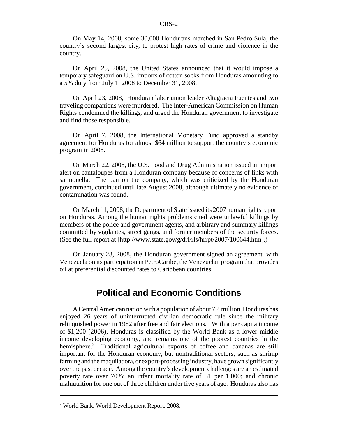On May 14, 2008, some 30,000 Hondurans marched in San Pedro Sula, the country's second largest city, to protest high rates of crime and violence in the country.

On April 25, 2008, the United States announced that it would impose a temporary safeguard on U.S. imports of cotton socks from Honduras amounting to a 5% duty from July 1, 2008 to December 31, 2008.

On April 23, 2008, Honduran labor union leader Altagracia Fuentes and two traveling companions were murdered. The Inter-American Commission on Human Rights condemned the killings, and urged the Honduran government to investigate and find those responsible.

On April 7, 2008, the International Monetary Fund approved a standby agreement for Honduras for almost \$64 million to support the country's economic program in 2008.

On March 22, 2008, the U.S. Food and Drug Administration issued an import alert on cantaloupes from a Honduran company because of concerns of links with salmonella. The ban on the company, which was criticized by the Honduran government, continued until late August 2008, although ultimately no evidence of contamination was found.

On March 11, 2008, the Department of State issued its 2007 human rights report on Honduras. Among the human rights problems cited were unlawful killings by members of the police and government agents, and arbitrary and summary killings committed by vigilantes, street gangs, and former members of the security forces. (See the full report at [http://www.state.gov/g/drl/rls/hrrpt/2007/100644.htm].)

 On January 28, 2008, the Honduran government signed an agreement with Venezuela on its participation in PetroCaribe, the Venezuelan program that provides oil at preferential discounted rates to Caribbean countries.

# **Political and Economic Conditions**

A Central American nation with a population of about 7.4 million, Honduras has enjoyed 26 years of uninterrupted civilian democratic rule since the military relinquished power in 1982 after free and fair elections. With a per capita income of \$1,200 (2006), Honduras is classified by the World Bank as a lower middle income developing economy, and remains one of the poorest countries in the hemisphere.<sup>2</sup> Traditional agricultural exports of coffee and bananas are still important for the Honduran economy, but nontraditional sectors, such as shrimp farming and the maquiladora, or export-processing industry, have grown significantly over the past decade. Among the country's development challenges are an estimated poverty rate over 70%; an infant mortality rate of 31 per 1,000; and chronic malnutrition for one out of three children under five years of age. Honduras also has

<sup>2</sup> World Bank, World Development Report, 2008.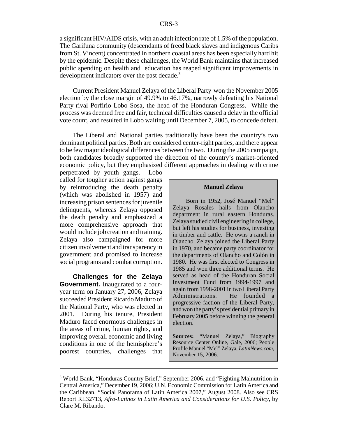a significant HIV/AIDS crisis, with an adult infection rate of 1.5% of the population. The Garifuna community (descendants of freed black slaves and indigenous Caribs from St. Vincent) concentrated in northern coastal areas has been especially hard hit by the epidemic. Despite these challenges, the World Bank maintains that increased public spending on health and education has reaped significant improvements in development indicators over the past decade.<sup>3</sup>

Current President Manuel Zelaya of the Liberal Party won the November 2005 election by the close margin of 49.9% to 46.17%, narrowly defeating his National Party rival Porfirio Lobo Sosa, the head of the Honduran Congress. While the process was deemed free and fair, technical difficulties caused a delay in the official vote count, and resulted in Lobo waiting until December 7, 2005, to concede defeat.

The Liberal and National parties traditionally have been the country's two dominant political parties. Both are considered center-right parties, and there appear to be few major ideological differences between the two. During the 2005 campaign, both candidates broadly supported the direction of the country's market-oriented economic policy, but they emphasized different approaches in dealing with crime

perpetrated by youth gangs. Lobo called for tougher action against gangs by reintroducing the death penalty (which was abolished in 1957) and increasing prison sentences for juvenile delinquents, whereas Zelaya opposed the death penalty and emphasized a more comprehensive approach that would include job creation and training. Zelaya also campaigned for more citizen involvement and transparency in government and promised to increase social programs and combat corruption.

**Challenges for the Zelaya Government.** Inaugurated to a fouryear term on January 27, 2006, Zelaya succeeded President Ricardo Maduro of the National Party, who was elected in 2001. During his tenure, President Maduro faced enormous challenges in the areas of crime, human rights, and improving overall economic and living conditions in one of the hemisphere's poorest countries, challenges that

#### **Manuel Zelaya**

Born in 1952, José Manuel "Mel" Zelaya Rosales hails from Olancho department in rural eastern Honduras. Zelaya studied civil engineering in college, but left his studies for business, investing in timber and cattle. He owns a ranch in Olancho. Zelaya joined the Liberal Party in 1970, and became party coordinator for the departments of Olancho and Colón in 1980. He was first elected to Congress in 1985 and won three additional terms. He served as head of the Honduran Social Investment Fund from 1994-1997 and again from 1998-2001 in two Liberal Party Administrations. He founded a progressive faction of the Liberal Party, and won the party's presidential primary in February 2005 before winning the general election.

**Sources:** "Manuel Zelaya," Biography Resource Center Online, Gale, 2006; People Profile Manuel "Mel" Zelaya, *LatinNews.com*, November 15, 2006.

<sup>&</sup>lt;sup>3</sup> World Bank, "Honduras Country Brief," September 2006, and "Fighting Malnutrition in Central America," December 19, 2006; U.N. Economic Commission for Latin America and the Caribbean, "Social Panorama of Latin America 2007," August 2008. Also see CRS Report RL32713, *Afro-Latinos in Latin America and Considerations for U.S. Policy*, by Clare M. Ribando.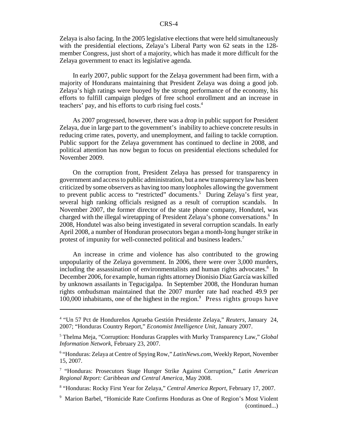Zelaya is also facing. In the 2005 legislative elections that were held simultaneously with the presidential elections, Zelaya's Liberal Party won 62 seats in the 128 member Congress, just short of a majority, which has made it more difficult for the Zelaya government to enact its legislative agenda.

In early 2007, public support for the Zelaya government had been firm, with a majority of Hondurans maintaining that President Zelaya was doing a good job. Zelaya's high ratings were buoyed by the strong performance of the economy, his efforts to fulfill campaign pledges of free school enrollment and an increase in teachers' pay, and his efforts to curb rising fuel costs.<sup>4</sup>

As 2007 progressed, however, there was a drop in public support for President Zelaya, due in large part to the government's inability to achieve concrete results in reducing crime rates, poverty, and unemployment, and failing to tackle corruption. Public support for the Zelaya government has continued to decline in 2008, and political attention has now begun to focus on presidential elections scheduled for November 2009.

On the corruption front, President Zelaya has pressed for transparency in government and access to public administration, but a new transparency law has been criticized by some observers as having too many loopholes allowing the government to prevent public access to "restricted" documents.<sup>5</sup> During Zelaya's first year, several high ranking officials resigned as a result of corruption scandals. In November 2007, the former director of the state phone company, Hondutel, was charged with the illegal wiretapping of President Zelaya's phone conversations.<sup>6</sup> In 2008, Hondutel was also being investigated in several corruption scandals. In early April 2008, a number of Honduran prosecutors began a month-long hunger strike in protest of impunity for well-connected political and business leaders.<sup>7</sup>

An increase in crime and violence has also contributed to the growing unpopularity of the Zelaya government. In 2006, there were over 3,000 murders, including the assassination of environmentalists and human rights advocates.<sup>8</sup> In December 2006, for example, human rights attorney Dionisio Díaz García was killed by unknown assailants in Tegucigalpa. In September 2008, the Honduran human rights ombudsman maintained that the 2007 murder rate had reached 49.9 per 100,000 inhabitants, one of the highest in the region.<sup>9</sup> Press rights groups have

<sup>4</sup> "Un 57 Pct de Hondureños Aprueba Gestión Presidente Zelaya," *Reuters,* January 24, 2007; "Honduras Country Report," *Economist Intelligence Unit*, January 2007.

<sup>5</sup> Thelma Meja, "Corruption: Honduras Grapples with Murky Transparency Law," *Global Information Network*, February 23, 2007.

<sup>&</sup>lt;sup>6</sup> "Honduras: Zelaya at Centre of Spying Row," LatinNews.com, Weekly Report, November 15, 2007.

<sup>7</sup> "Honduras: Prosecutors Stage Hunger Strike Against Corruption," *Latin American Regional Report: Caribbean and Central America,* May 2008.

<sup>8</sup> "Honduras: Rocky First Year for Zelaya," *Central America Report*, February 17, 2007.

<sup>9</sup> Marion Barbel, "Homicide Rate Confirms Honduras as One of Region's Most Violent (continued...)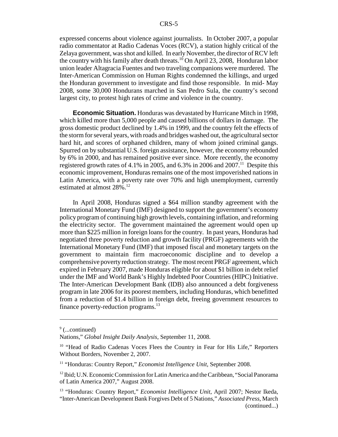expressed concerns about violence against journalists. In October 2007, a popular radio commentator at Radio Cadenas Voces (RCV), a station highly critical of the Zelaya government, was shot and killed. In early November, the director of RCV left the country with his family after death threats.<sup>10</sup> On April 23, 2008, Honduran labor union leader Altagracia Fuentes and two traveling companions were murdered. The Inter-American Commission on Human Rights condemned the killings, and urged the Honduran government to investigate and find those responsible. In mid- May 2008, some 30,000 Hondurans marched in San Pedro Sula, the country's second largest city, to protest high rates of crime and violence in the country.

**Economic Situation.** Honduras was devastated by Hurricane Mitch in 1998, which killed more than 5,000 people and caused billions of dollars in damage. The gross domestic product declined by 1.4% in 1999, and the country felt the effects of the storm for several years, with roads and bridges washed out, the agricultural sector hard hit, and scores of orphaned children, many of whom joined criminal gangs. Spurred on by substantial U.S. foreign assistance, however, the economy rebounded by 6% in 2000, and has remained positive ever since. More recently, the economy registered growth rates of 4.1% in 2005, and 6.3% in 2006 and 2007.<sup>11</sup> Despite this economic improvement, Honduras remains one of the most impoverished nations in Latin America, with a poverty rate over 70% and high unemployment, currently estimated at almost 28%.<sup>12</sup>

In April 2008, Honduras signed a \$64 million standby agreement with the International Monetary Fund (IMF) designed to support the government's economy policy program of continuing high growth levels, containing inflation, and reforming the electricity sector. The government maintained the agreement would open up more than \$225 million in foreign loans for the country. In past years, Honduras had negotiated three poverty reduction and growth facility (PRGF) agreements with the International Monetary Fund (IMF) that imposed fiscal and monetary targets on the government to maintain firm macroeconomic discipline and to develop a comprehensive poverty reduction strategy. The most recent PRGF agreement, which expired in February 2007, made Honduras eligible for about \$1 billion in debt relief under the IMF and World Bank's Highly Indebted Poor Countries (HIPC) Initiative. The Inter-American Development Bank (IDB) also announced a debt forgiveness program in late 2006 for its poorest members, including Honduras, which benefitted from a reduction of \$1.4 billion in foreign debt, freeing government resources to finance poverty-reduction programs. $^{13}$ 

<sup>&</sup>lt;sup>9</sup> (...continued)

Nations," *Global Insight Daily Analysis*, September 11, 2008.

<sup>&</sup>lt;sup>10</sup> "Head of Radio Cadenas Voces Flees the Country in Fear for His Life," Reporters Without Borders, November 2, 2007.

<sup>&</sup>lt;sup>11</sup> "Honduras: Country Report," *Economist Intelligence Unit*, September 2008.

<sup>&</sup>lt;sup>12</sup> Ibid; U.N. Economic Commission for Latin America and the Caribbean, "Social Panorama of Latin America 2007," August 2008.

<sup>&</sup>lt;sup>13</sup> "Honduras: Country Report," *Economist Intelligence Unit*, April 2007; Nestor Ikeda, "Inter-American Development Bank Forgives Debt of 5 Nations," *Associated Press*, March (continued...)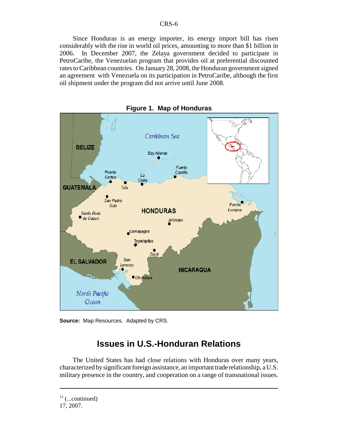Since Honduras is an energy importer, its energy import bill has risen considerably with the rise in world oil prices, amounting to more than \$1 billion in 2006. In December 2007, the Zelaya government decided to participate in PetroCaribe, the Venezuelan program that provides oil at preferential discounted rates to Caribbean countries. On January 28, 2008, the Honduran government signed an agreement with Venezuela on its participation in PetroCaribe, although the first oil shipment under the program did not arrive until June 2008.



**Figure 1. Map of Honduras**

**Source:** Map Resources. Adapted by CRS.

# **Issues in U.S.-Honduran Relations**

The United States has had close relations with Honduras over many years, characterized by significant foreign assistance, an important trade relationship, a U.S. military presence in the country, and cooperation on a range of transnational issues.

 $13$  (...continued)

<sup>17, 2007.</sup>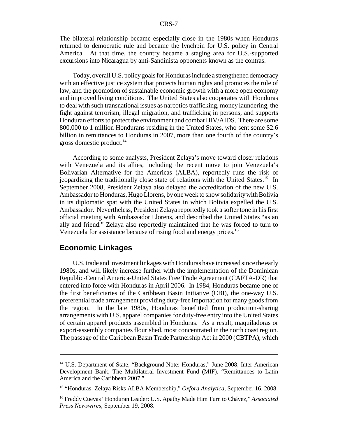The bilateral relationship became especially close in the 1980s when Honduras returned to democratic rule and became the lynchpin for U.S. policy in Central America. At that time, the country became a staging area for U.S.-supported excursions into Nicaragua by anti-Sandinista opponents known as the contras.

Today, overall U.S. policy goals for Honduras include a strengthened democracy with an effective justice system that protects human rights and promotes the rule of law, and the promotion of sustainable economic growth with a more open economy and improved living conditions. The United States also cooperates with Honduras to deal with such transnational issues as narcotics trafficking, money laundering, the fight against terrorism, illegal migration, and trafficking in persons, and supports Honduran efforts to protect the environment and combat HIV/AIDS. There are some 800,000 to 1 million Hondurans residing in the United States, who sent some \$2.6 billion in remittances to Honduras in 2007, more than one fourth of the country's gross domestic product. $^{14}$ 

According to some analysts, President Zelaya's move toward closer relations with Venezuela and its allies, including the recent move to join Venezuela's Bolivarian Alternative for the Americas (ALBA), reportedly runs the risk of jeopardizing the traditionally close state of relations with the United States.15 In September 2008, President Zelaya also delayed the accreditation of the new U.S. Ambassador to Honduras, Hugo Llorens, by one week to show solidarity with Bolivia in its diplomatic spat with the United States in which Bolivia expelled the U.S. Ambassador. Nevertheless, President Zelaya reportedly took a softer tone in his first official meeting with Ambassador Llorens, and described the United States "as an ally and friend." Zelaya also reportedly maintained that he was forced to turn to Venezuela for assistance because of rising food and energy prices.<sup>16</sup>

#### **Economic Linkages**

U.S. trade and investment linkages with Honduras have increased since the early 1980s, and will likely increase further with the implementation of the Dominican Republic-Central America-United States Free Trade Agreement (CAFTA-DR) that entered into force with Honduras in April 2006. In 1984, Honduras became one of the first beneficiaries of the Caribbean Basin Initiative (CBI), the one-way U.S. preferential trade arrangement providing duty-free importation for many goods from the region. In the late 1980s, Honduras benefitted from production-sharing arrangements with U.S. apparel companies for duty-free entry into the United States of certain apparel products assembled in Honduras. As a result, maquiladoras or export-assembly companies flourished, most concentrated in the north coast region. The passage of the Caribbean Basin Trade Partnership Act in 2000 (CBTPA), which

<sup>&</sup>lt;sup>14</sup> U.S. Department of State, "Background Note: Honduras," June 2008; Inter-American Development Bank, The Multilateral Investment Fund (MIF), "Remittances to Latin America and the Caribbean 2007."

<sup>15 &</sup>quot;Honduras: Zelaya Risks ALBA Membership," *Oxford Analytica*, September 16, 2008.

<sup>16</sup> Freddy Cuevas "Honduran Leader: U.S. Apathy Made Him Turn to Chávez," *Associated Press Newswires*, September 19, 2008.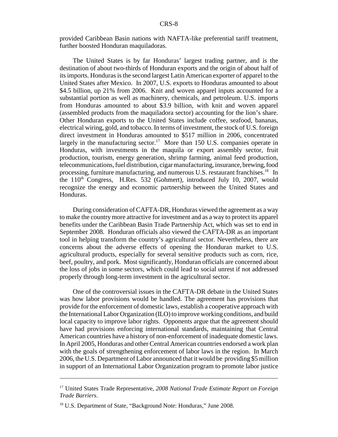provided Caribbean Basin nations with NAFTA-like preferential tariff treatment, further boosted Honduran maquiladoras.

The United States is by far Honduras' largest trading partner, and is the destination of about two-thirds of Honduran exports and the origin of about half of its imports. Honduras is the second largest Latin American exporter of apparel to the United States after Mexico. In 2007, U.S. exports to Honduras amounted to about \$4.5 billion, up 21% from 2006. Knit and woven apparel inputs accounted for a substantial portion as well as machinery, chemicals, and petroleum. U.S. imports from Honduras amounted to about \$3.9 billion, with knit and woven apparel (assembled products from the maquiladora sector) accounting for the lion's share. Other Honduran exports to the United States include coffee, seafood, bananas, electrical wiring, gold, and tobacco. In terms of investment, the stock of U.S. foreign direct investment in Honduras amounted to \$517 million in 2006, concentrated largely in the manufacturing sector.<sup>17</sup> More than 150 U.S. companies operate in Honduras, with investments in the maquila or export assembly sector, fruit production, tourism, energy generation, shrimp farming, animal feed production, telecommunications, fuel distribution, cigar manufacturing, insurance, brewing, food processing, furniture manufacturing, and numerous U.S. restaurant franchises.<sup>18</sup> In the  $110<sup>th</sup>$  Congress, H.Res. 532 (Gohmert), introduced July 10, 2007, would recognize the energy and economic partnership between the United States and Honduras.

During consideration of CAFTA-DR, Honduras viewed the agreement as a way to make the country more attractive for investment and as a way to protect its apparel benefits under the Caribbean Basin Trade Partnership Act, which was set to end in September 2008. Honduran officials also viewed the CAFTA-DR as an important tool in helping transform the country's agricultural sector. Nevertheless, there are concerns about the adverse effects of opening the Honduran market to U.S. agricultural products, especially for several sensitive products such as corn, rice, beef, poultry, and pork. Most significantly, Honduran officials are concerned about the loss of jobs in some sectors, which could lead to social unrest if not addressed properly through long-term investment in the agricultural sector.

One of the controversial issues in the CAFTA-DR debate in the United States was how labor provisions would be handled. The agreement has provisions that provide for the enforcement of domestic laws, establish a cooperative approach with the International Labor Organization (ILO) to improve working conditions, and build local capacity to improve labor rights. Opponents argue that the agreement should have had provisions enforcing international standards, maintaining that Central American countries have a history of non-enforcement of inadequate domestic laws. In April 2005, Honduras and other Central American countries endorsed a work plan with the goals of strengthening enforcement of labor laws in the region. In March 2006, the U.S. Department of Labor announced that it would be providing \$5 million in support of an International Labor Organization program to promote labor justice

<sup>17</sup> United States Trade Representative, *2008 National Trade Estimate Report on Foreign Trade Barriers*.

<sup>&</sup>lt;sup>18</sup> U.S. Department of State, "Background Note: Honduras," June 2008.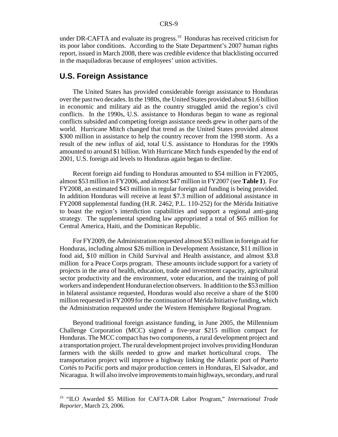under DR-CAFTA and evaluate its progress.<sup>19</sup> Honduras has received criticism for its poor labor conditions. According to the State Department's 2007 human rights report, issued in March 2008, there was credible evidence that blacklisting occurred in the maquiladoras because of employees' union activities.

#### **U.S. Foreign Assistance**

The United States has provided considerable foreign assistance to Honduras over the past two decades. In the 1980s, the United States provided about \$1.6 billion in economic and military aid as the country struggled amid the region's civil conflicts. In the 1990s, U.S. assistance to Honduras began to wane as regional conflicts subsided and competing foreign assistance needs grew in other parts of the world. Hurricane Mitch changed that trend as the United States provided almost \$300 million in assistance to help the country recover from the 1998 storm. As a result of the new influx of aid, total U.S. assistance to Honduras for the 1990s amounted to around \$1 billion. With Hurricane Mitch funds expended by the end of 2001, U.S. foreign aid levels to Honduras again began to decline.

Recent foreign aid funding to Honduras amounted to \$54 million in FY2005, almost \$53 million in FY2006, and almost \$47 million in FY2007 (see **Table 1**). For FY2008, an estimated \$43 million in regular foreign aid funding is being provided. In addition Honduras will receive at least \$7.3 million of additional assistance in FY2008 supplemental funding (H.R. 2462, P.L. 110-252) for the Mérida Initiative to boast the region's interdiction capabilities and support a regional anti-gang strategy. The supplemental spending law appropriated a total of \$65 million for Central America, Haiti, and the Dominican Republic.

For FY2009, the Administration requested almost \$53 million in foreign aid for Honduras, including almost \$26 million in Development Assistance, \$11 million in food aid, \$10 million in Child Survival and Health assistance, and almost \$3.8 million for a Peace Corps program. These amounts include support for a variety of projects in the area of health, education, trade and investment capacity, agricultural sector productivity and the environment, voter education, and the training of poll workers and independent Honduran election observers. In addition to the \$53 million in bilateral assistance requested, Honduras would also receive a share of the \$100 million requested in FY2009 for the continuation of Mérida Initiative funding, which the Administration requested under the Western Hemisphere Regional Program.

Beyond traditional foreign assistance funding, in June 2005, the Millennium Challenge Corporation (MCC) signed a five-year \$215 million compact for Honduras. The MCC compact has two components, a rural development project and a transportation project. The rural development project involves providing Honduran farmers with the skills needed to grow and market horticultural crops. The transportation project will improve a highway linking the Atlantic port of Puerto Cortés to Pacific ports and major production centers in Honduras, El Salvador, and Nicaragua. It will also involve improvements to main highways, secondary, and rural

<sup>&</sup>lt;sup>19</sup> "ILO Awarded \$5 Million for CAFTA-DR Labor Program," International Trade *Reporter*, March 23, 2006.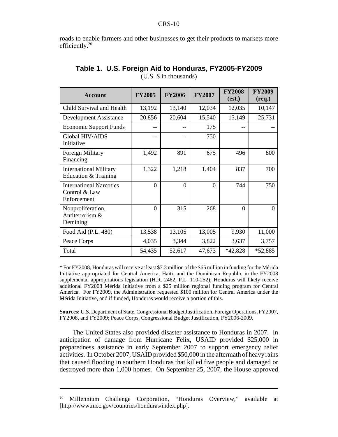roads to enable farmers and other businesses to get their products to markets more efficiently.<sup>20</sup>

| <b>Account</b>                                                 | <b>FY2005</b> | <b>FY2006</b> | <b>FY2007</b> | <b>FY2008</b><br>(est.) | <b>FY2009</b><br>$(req.)$ |
|----------------------------------------------------------------|---------------|---------------|---------------|-------------------------|---------------------------|
| Child Survival and Health                                      | 13,192        | 13,140        | 12,034        | 12,035                  | 10,147                    |
| Development Assistance                                         | 20,856        | 20,604        | 15,540        | 15,149                  | 25,731                    |
| <b>Economic Support Funds</b>                                  |               |               | 175           |                         |                           |
| Global HIV/AIDS<br>Initiative                                  |               | --            | 750           |                         |                           |
| Foreign Military<br>Financing                                  | 1,492         | 891           | 675           | 496                     | 800                       |
| <b>International Military</b><br>Education & Training          | 1,322         | 1,218         | 1,404         | 837                     | 700                       |
| <b>International Narcotics</b><br>Control & Law<br>Enforcement | $\Omega$      | $\Omega$      | $\Omega$      | 744                     | 750                       |
| Nonproliferation,<br>Antiterrorism &<br>Demining               | $\Omega$      | 315           | 268           | $\Omega$                | $\theta$                  |
| Food Aid (P.L. 480)                                            | 13,538        | 13,105        | 13,005        | 9,930                   | 11,000                    |
| Peace Corps                                                    | 4,035         | 3,344         | 3,822         | 3,637                   | 3,757                     |
| Total                                                          | 54,435        | 52,617        | 47,673        | *42,828                 | *52,885                   |

#### **Table 1. U.S. Foreign Aid to Honduras, FY2005-FY2009** (U.S. \$ in thousands)

\* For FY2008, Honduras will receive at least \$7.3 million of the \$65 million in funding for the Mérida Initiative appropriated for Central America, Haiti, and the Dominican Republic in the FY2008 supplemental appropriations legislation (H.R. 2462, P.L. 110-252); Honduras will likely receive additional FY2008 Mérida Initiative from a \$25 million regional funding program for Central America. For FY2009, the Administration requested \$100 million for Central America under the Mérida Initiative, and if funded, Honduras would receive a portion of this.

**Sources:** U.S. Department of State, Congressional Budget Justification, Foreign Operations, FY2007, FY2008, and FY2009; Peace Corps, Congressional Budget Justification, FY2006-2009.

The United States also provided disaster assistance to Honduras in 2007. In anticipation of damage from Hurricane Felix, USAID provided \$25,000 in preparedness assistance in early September 2007 to support emergency relief activities. In October 2007, USAID provided \$50,000 in the aftermath of heavy rains that caused flooding in southern Honduras that killed five people and damaged or destroyed more than 1,000 homes. On September 25, 2007, the House approved

<sup>&</sup>lt;sup>20</sup> Millennium Challenge Corporation, "Honduras Overview," available at [http://www.mcc.gov/countries/honduras/index.php].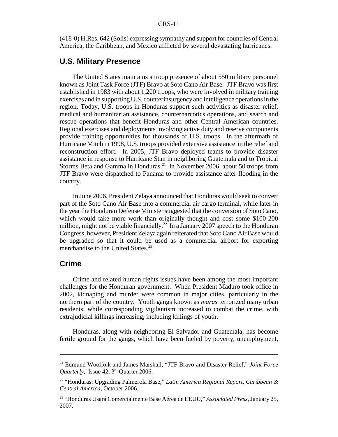(418-0) H.Res. 642 (Solis) expressing sympathy and support for countries of Central America, the Caribbean, and Mexico afflicted by several devastating hurricanes.

#### **U.S. Military Presence**

The United States maintains a troop presence of about 550 military personnel known as Joint Task Force (JTF) Bravo at Soto Cano Air Base. JTF Bravo was first established in 1983 with about 1,200 troops, who were involved in military training exercises and in supporting U.S. counterinsurgency and intelligence operations in the region. Today, U.S. troops in Honduras support such activities as disaster relief, medical and humanitarian assistance, counternarcotics operations, and search and rescue operations that benefit Honduras and other Central American countries. Regional exercises and deployments involving active duty and reserve components provide training opportunities for thousands of U.S. troops. In the aftermath of Hurricane Mitch in 1998, U.S. troops provided extensive assistance in the relief and reconstruction effort. In 2005, JTF Bravo deployed teams to provide disaster assistance in response to Hurricane Stan in neighboring Guatemala and to Tropical Storms Beta and Gamma in Honduras.<sup>21</sup> In November 2006, about 50 troops from JTF Bravo were dispatched to Panama to provide assistance after flooding in the country.

In June 2006, President Zelaya announced that Honduras would seek to convert part of the Soto Cano Air Base into a commercial air cargo terminal, while later in the year the Honduran Defense Minister suggested that the conversion of Soto Cano, which would take more work than originally thought and cost some \$100-200 million, might not be viable financially.<sup>22</sup> In a January 2007 speech to the Honduran Congress, however, President Zelaya again reiterated that Soto Cano Air Base would be upgraded so that it could be used as a commercial airport for exporting merchandise to the United States.<sup>23</sup>

#### **Crime**

Crime and related human rights issues have been among the most important challenges for the Honduran government. When President Maduro took office in 2002, kidnaping and murder were common in major cities, particularly in the northern part of the country. Youth gangs known as *maras* terrorized many urban residents, while corresponding vigilantism increased to combat the crime, with extrajudicial killings increasing, including killings of youth.

Honduras, along with neighboring El Salvador and Guatemala, has become fertile ground for the gangs, which have been fueled by poverty, unemployment,

<sup>21</sup> Edmund Woolfolk and James Marshall, "JTF-Bravo and Disaster Relief," *Joint Force Quarterly*, Issue 42, 3rd Quarter 2006.

<sup>22 &</sup>quot;Honduras: Upgrading Palmerola Base," *Latin America Regional Report, Caribbean & Central America*, October 2006.

<sup>23 &</sup>quot;Honduras Usará Comercialmente Base Aérea de EEUU," *Associated Press*, January 25, 2007.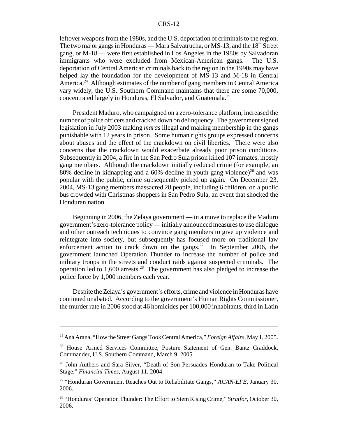#### CRS-12

leftover weapons from the 1980s, and the U.S. deportation of criminals to the region. The two major gangs in Honduras — Mara Salvatrucha, or MS-13, and the 18<sup>th</sup> Street gang, or M-18 — were first established in Los Angeles in the 1980s by Salvadoran immigrants who were excluded from Mexican-American gangs. The U.S. deportation of Central American criminals back to the region in the 1990s may have helped lay the foundation for the development of MS-13 and M-18 in Central America.<sup>24</sup> Although estimates of the number of gang members in Central America vary widely, the U.S. Southern Command maintains that there are some 70,000, concentrated largely in Honduras, El Salvador, and Guatemala.25

President Maduro, who campaigned on a zero-tolerance platform, increased the number of police officers and cracked down on delinquency. The government signed legislation in July 2003 making *maras* illegal and making membership in the gangs punishable with 12 years in prison. Some human rights groups expressed concerns about abuses and the effect of the crackdown on civil liberties. There were also concerns that the crackdown would exacerbate already poor prison conditions. Subsequently in 2004, a fire in the San Pedro Sula prison killed 107 inmates, mostly gang members. Although the crackdown initially reduced crime (for example, an 80% decline in kidnapping and a 60% decline in youth gang violence)<sup>26</sup> and was popular with the public, crime subsequently picked up again. On December 23, 2004, MS-13 gang members massacred 28 people, including 6 children, on a public bus crowded with Christmas shoppers in San Pedro Sula, an event that shocked the Honduran nation.

Beginning in 2006, the Zelaya government — in a move to replace the Maduro government's zero-tolerance policy — initially announced measures to use dialogue and other outreach techniques to convince gang members to give up violence and reintegrate into society, but subsequently has focused more on traditional law enforcement action to crack down on the gangs.<sup>27</sup> In September 2006, the government launched Operation Thunder to increase the number of police and military troops in the streets and conduct raids against suspected criminals. The operation led to  $1,600$  arrests.<sup>28</sup> The government has also pledged to increase the police force by 1,000 members each year.

Despite the Zelaya's government's efforts, crime and violence in Honduras have continued unabated. According to the government's Human Rights Commissioner, the murder rate in 2006 stood at 46 homicides per 100,000 inhabitants, third in Latin

<sup>24</sup> Ana Arana, "How the Street Gangs Took Central America," *Foreign Affairs*, May 1, 2005.

<sup>&</sup>lt;sup>25</sup> House Armed Services Committee, Posture Statement of Gen. Bantz Craddock, Commander, U.S. Southern Command, March 9, 2005.

<sup>26</sup> John Authers and Sara Silver, "Death of Son Persuades Honduran to Take Political Stage," *Financial Times*, August 11, 2004.

<sup>27 &</sup>quot;Honduran Government Reaches Out to Rehabilitate Gangs," *ACAN-EFE*, January 30, 2006.

<sup>28 &</sup>quot;Honduras' Operation Thunder: The Effort to Stem Rising Crime," *Stratfor*, October 30, 2006.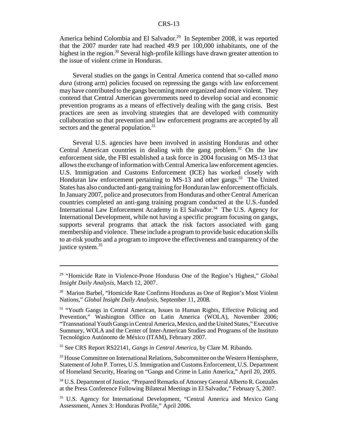America behind Colombia and El Salvador.<sup>29</sup> In September 2008, it was reported that the 2007 murder rate had reached 49.9 per 100,000 inhabitants, one of the highest in the region.<sup>30</sup> Several high-profile killings have drawn greater attention to the issue of violent crime in Honduras.

Several studies on the gangs in Central America contend that so-called *mano dura* (strong arm) policies focused on repressing the gangs with law enforcement may have contributed to the gangs becoming more organized and more violent. They contend that Central American governments need to develop social and economic prevention programs as a means of effectively dealing with the gang crisis. Best practices are seen as involving strategies that are developed with community collaboration so that prevention and law enforcement programs are accepted by all sectors and the general population.<sup>31</sup>

Several U.S. agencies have been involved in assisting Honduras and other Central American countries in dealing with the gang problem.<sup>32</sup> On the law enforcement side, the FBI established a task force in 2004 focusing on MS-13 that allows the exchange of information with Central America law enforcement agencies. U.S. Immigration and Customs Enforcement (ICE) has worked closely with Honduran law enforcement pertaining to MS-13 and other gangs.<sup>33</sup> The United States has also conducted anti-gang training for Honduran law enforcement officials. In January 2007, police and prosecutors from Honduras and other Central American countries completed an anti-gang training program conducted at the U.S.-funded International Law Enforcement Academy in El Salvador.<sup>34</sup> The U.S. Agency for International Development, while not having a specific program focusing on gangs, supports several programs that attack the risk factors associated with gang membership and violence. These include a program to provide basic education skills to at-risk youths and a program to improve the effectiveness and transparency of the justice system.<sup>35</sup>

<sup>29 &</sup>quot;Homicide Rate in Violence-Prone Honduras One of the Region's Highest," *Global Insight Daily Analysis*, March 12, 2007.

<sup>30</sup> Marion Barbel, "Homicide Rate Confirms Honduras as One of Region's Most Violent Nations," *Global Insight Daily Analysis*, September 11, 2008.

<sup>&</sup>lt;sup>31</sup> "Youth Gangs in Central American, Issues in Human Rights, Effective Policing and Prevention," Washington Office on Latin America (WOLA), November 2006; "Transnational Youth Gangs in Central America, Mexico, and the United States," Executive Summary, WOLA and the Center of Inter-American Studies and Programs of the Instituto Tecnológico Autónomo de México (ITAM), February 2007.

<sup>32</sup> See CRS Report RS22141, *Gangs in Central America*, by Clare M. Ribando.

<sup>&</sup>lt;sup>33</sup> House Committee on International Relations, Subcommittee on the Western Hemisphere, Statement of John P. Torres, U.S. Immigration and Customs Enforcement, U.S. Department of Homeland Security, Hearing on "Gangs and Crime in Latin America," April 20, 2005.

<sup>34</sup> U.S. Department of Justice, "Prepared Remarks of Attorney General Alberto R. Gonzales at the Press Conference Following Bilateral Meetings in El Salvador," February 5, 2007.

<sup>&</sup>lt;sup>35</sup> U.S. Agency for International Development, "Central America and Mexico Gang Assessment, Annex 3: Honduras Profile," April 2006.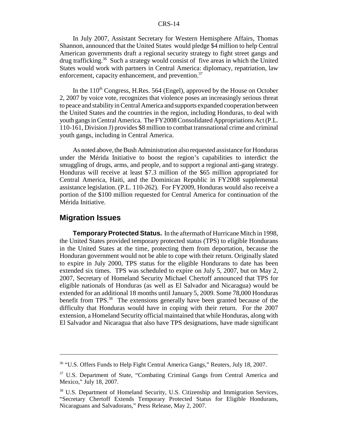#### CRS-14

In July 2007, Assistant Secretary for Western Hemisphere Affairs, Thomas Shannon, announced that the United States would pledge \$4 million to help Central American governments draft a regional security strategy to fight street gangs and drug trafficking.<sup>36</sup> Such a strategy would consist of five areas in which the United States would work with partners in Central America: diplomacy, repatriation, law enforcement, capacity enhancement, and prevention.<sup>37</sup>

In the  $110<sup>th</sup> Congress$ , H.Res. 564 (Engel), approved by the House on October 2, 2007 by voice vote, recognizes that violence poses an increasingly serious threat to peace and stability in Central America and supports expanded cooperation between the United States and the countries in the region, including Honduras, to deal with youth gangs in Central America. The FY2008 Consolidated Appropriations Act (P.L. 110-161, Division J) provides \$8 million to combat transnational crime and criminal youth gangs, including in Central America.

As noted above, the Bush Administration also requested assistance for Honduras under the Mérida Initiative to boost the region's capabilities to interdict the smuggling of drugs, arms, and people, and to support a regional anti-gang strategy. Honduras will receive at least \$7.3 million of the \$65 million appropriated for Central America, Haiti, and the Dominican Republic in FY2008 supplemental assistance legislation. (P.L. 110-262). For FY2009, Honduras would also receive a portion of the \$100 million requested for Central America for continuation of the Mérida Initiative.

#### **Migration Issues**

**Temporary Protected Status.** In the aftermath of Hurricane Mitch in 1998, the United States provided temporary protected status (TPS) to eligible Hondurans in the United States at the time, protecting them from deportation, because the Honduran government would not be able to cope with their return. Originally slated to expire in July 2000, TPS status for the eligible Hondurans to date has been extended six times. TPS was scheduled to expire on July 5, 2007, but on May 2, 2007, Secretary of Homeland Security Michael Chertoff announced that TPS for eligible nationals of Honduras (as well as El Salvador and Nicaragua) would be extended for an additional 18 months until January 5, 2009. Some 78,000 Honduras benefit from TPS.<sup>38</sup> The extensions generally have been granted because of the difficulty that Honduras would have in coping with their return. For the 2007 extension, a Homeland Security official maintained that while Honduras, along with El Salvador and Nicaragua that also have TPS designations, have made significant

<sup>36 &</sup>quot;U.S. Offers Funds to Help Fight Central America Gangs," Reuters, July 18, 2007.

<sup>&</sup>lt;sup>37</sup> U.S. Department of State, "Combating Criminal Gangs from Central America and Mexico," July 18, 2007.

<sup>38</sup> U.S. Department of Homeland Security, U.S. Citizenship and Immigration Services, "Secretary Chertoff Extends Temporary Protected Status for Eligible Hondurans, Nicaraguans and Salvadorans," Press Release, May 2, 2007.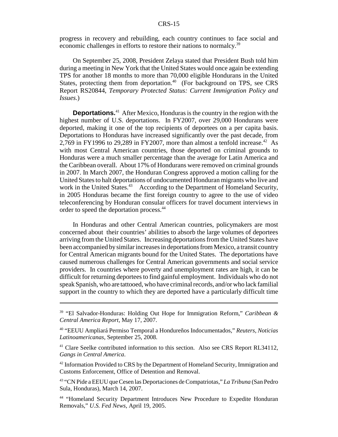#### CRS-15

progress in recovery and rebuilding, each country continues to face social and economic challenges in efforts to restore their nations to normalcy.39

On September 25, 2008, President Zelaya stated that President Bush told him during a meeting in New York that the United States would once again be extending TPS for another 18 months to more than 70,000 eligible Hondurans in the United States, protecting them from deportation.<sup>40</sup> (For background on TPS, see CRS Report RS20844, *Temporary Protected Status: Current Immigration Policy and Issues*.)

**Deportations.**41 After Mexico, Honduras is the country in the region with the highest number of U.S. deportations. In FY2007, over 29,000 Hondurans were deported, making it one of the top recipients of deportees on a per capita basis. Deportations to Honduras have increased significantly over the past decade, from 2,769 in FY1996 to 29,289 in FY2007, more than almost a tenfold increase.<sup>42</sup> As with most Central American countries, those deported on criminal grounds to Honduras were a much smaller percentage than the average for Latin America and the Caribbean overall. About 17% of Hondurans were removed on criminal grounds in 2007. In March 2007, the Honduran Congress approved a motion calling for the United States to halt deportations of undocumented Honduran migrants who live and work in the United States.<sup>43</sup> According to the Department of Homeland Security, in 2005 Honduras became the first foreign country to agree to the use of video teleconferencing by Honduran consular officers for travel document interviews in order to speed the deportation process.44

In Honduras and other Central American countries, policymakers are most concerned about their countries' abilities to absorb the large volumes of deportees arriving from the United States. Increasing deportations from the United States have been accompanied by similar increases in deportations from Mexico, a transit country for Central American migrants bound for the United States. The deportations have caused numerous challenges for Central American governments and social service providers. In countries where poverty and unemployment rates are high, it can be difficult for returning deportees to find gainful employment. Individuals who do not speak Spanish, who are tattooed, who have criminal records, and/or who lack familial support in the country to which they are deported have a particularly difficult time

<sup>42</sup> Information Provided to CRS by the Department of Homeland Security, Immigration and Customs Enforcement, Office of Detention and Removal.

<sup>39 &</sup>quot;El Salvador-Honduras: Holding Out Hope for Immigration Reform," *Caribbean & Central America Report*, May 17, 2007.

<sup>40 &</sup>quot;EEUU Ampliará Permiso Temporal a Hondureños Indocumentados," *Reuters, Noticias Latinoamericanas*, September 25, 2008.

<sup>&</sup>lt;sup>41</sup> Clare Seelke contributed information to this section. Also see CRS Report RL34112, *Gangs in Central America*.

<sup>43 &</sup>quot;CN Pide a EEUU que Cesen las Deportaciones de Compatriotas," *La Tribuna* (San Pedro Sula, Honduras), March 14, 2007.

<sup>44 &</sup>quot;Homeland Security Department Introduces New Procedure to Expedite Honduran Removals," *U.S. Fed News*, April 19, 2005.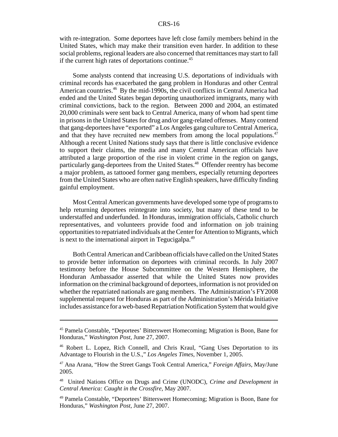with re-integration. Some deportees have left close family members behind in the United States, which may make their transition even harder. In addition to these social problems, regional leaders are also concerned that remittances may start to fall if the current high rates of deportations continue.<sup>45</sup>

Some analysts contend that increasing U.S. deportations of individuals with criminal records has exacerbated the gang problem in Honduras and other Central American countries.46 By the mid-1990s, the civil conflicts in Central America had ended and the United States began deporting unauthorized immigrants, many with criminal convictions, back to the region. Between 2000 and 2004, an estimated 20,000 criminals were sent back to Central America, many of whom had spent time in prisons in the United States for drug and/or gang-related offenses. Many contend that gang-deportees have "exported" a Los Angeles gang culture to Central America, and that they have recruited new members from among the local populations.<sup>47</sup> Although a recent United Nations study says that there is little conclusive evidence to support their claims, the media and many Central American officials have attributed a large proportion of the rise in violent crime in the region on gangs, particularly gang-deportees from the United States.<sup>48</sup> Offender reentry has become a major problem, as tattooed former gang members, especially returning deportees from the United States who are often native English speakers, have difficulty finding gainful employment.

Most Central American governments have developed some type of programs to help returning deportees reintegrate into society, but many of these tend to be understaffed and underfunded. In Honduras, immigration officials, Catholic church representatives, and volunteers provide food and information on job training opportunities to repatriated individuals at the Center for Attention to Migrants, which is next to the international airport in Tegucigalpa.<sup>49</sup>

Both Central American and Caribbean officials have called on the United States to provide better information on deportees with criminal records. In July 2007 testimony before the House Subcommittee on the Western Hemisphere, the Honduran Ambassador asserted that while the United States now provides information on the criminal background of deportees, information is not provided on whether the repatriated nationals are gang members. The Administration's FY2008 supplemental request for Honduras as part of the Administration's Mérida Initiative includes assistance for a web-based Repatriation Notification System that would give

<sup>45</sup> Pamela Constable, "Deportees' Bittersweet Homecoming; Migration is Boon, Bane for Honduras," *Washington Post*, June 27, 2007.

<sup>46</sup> Robert L. Lopez, Rich Connell, and Chris Kraul, "Gang Uses Deportation to its Advantage to Flourish in the U.S.," *Los Angeles Times*, November 1, 2005.

<sup>47</sup> Ana Arana, "How the Street Gangs Took Central America," *Foreign Affairs*, May/June 2005.

<sup>48</sup> United Nations Office on Drugs and Crime (UNODC), *Crime and Development in Central America: Caught in the Crossfire*, May 2007.

<sup>49</sup> Pamela Constable, "Deportees' Bittersweet Homecoming; Migration is Boon, Bane for Honduras," *Washington Post*, June 27, 2007.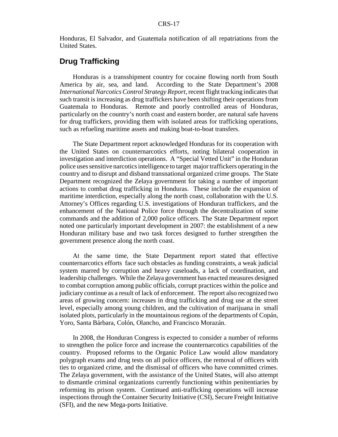Honduras, El Salvador, and Guatemala notification of all repatriations from the United States.

## **Drug Trafficking**

Honduras is a transshipment country for cocaine flowing north from South America by air, sea, and land. According to the State Department's 2008 *International Narcotics Control Strategy Report*, recent flight tracking indicates that such transit is increasing as drug traffickers have been shifting their operations from Guatemala to Honduras. Remote and poorly controlled areas of Honduras, particularly on the country's north coast and eastern border, are natural safe havens for drug traffickers, providing them with isolated areas for trafficking operations, such as refueling maritime assets and making boat-to-boat transfers.

The State Department report acknowledged Honduras for its cooperation with the United States on counternarcotics efforts, noting bilateral cooperation in investigation and interdiction operations. A "Special Vetted Unit" in the Honduran police uses sensitive narcotics intelligence to target major traffickers operating in the country and to disrupt and disband transnational organized crime groups. The State Department recognized the Zelaya government for taking a number of important actions to combat drug trafficking in Honduras. These include the expansion of maritime interdiction, especially along the north coast, collaboration with the U.S. Attorney's Offices regarding U.S. investigations of Honduran traffickers, and the enhancement of the National Police force through the decentralization of some commands and the addition of 2,000 police officers. The State Department report noted one particularly important development in 2007: the establishment of a new Honduran military base and two task forces designed to further strengthen the government presence along the north coast.

At the same time, the State Department report stated that effective counternarcotics efforts face such obstacles as funding constraints, a weak judicial system marred by corruption and heavy caseloads, a lack of coordination, and leadership challenges. While the Zelaya government has enacted measures designed to combat corruption among public officials, corrupt practices within the police and judiciary continue as a result of lack of enforcement. The report also recognized two areas of growing concern: increases in drug trafficking and drug use at the street level, especially among young children, and the cultivation of marijuana in small isolated plots, particularly in the mountainous regions of the departments of Copán, Yoro, Santa Bárbara, Colón, Olancho, and Francisco Morazán.

In 2008, the Honduran Congress is expected to consider a number of reforms to strengthen the police force and increase the counternarcotics capabilities of the country. Proposed reforms to the Organic Police Law would allow mandatory polygraph exams and drug tests on all police officers, the removal of officers with ties to organized crime, and the dismissal of officers who have committed crimes. The Zelaya government, with the assistance of the United States, will also attempt to dismantle criminal organizations currently functioning within penitentiaries by reforming its prison system. Continued anti-trafficking operations will increase inspections through the Container Security Initiative (CSI), Secure Freight Initiative (SFI), and the new Mega-ports Initiative.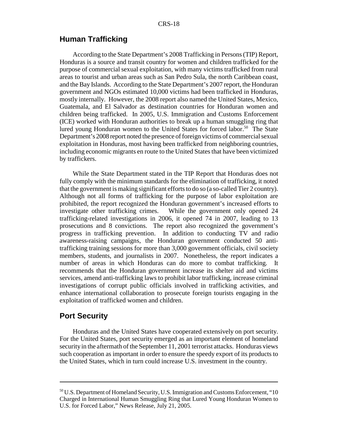#### **Human Trafficking**

According to the State Department's 2008 Trafficking in Persons (TIP) Report, Honduras is a source and transit country for women and children trafficked for the purpose of commercial sexual exploitation, with many victims trafficked from rural areas to tourist and urban areas such as San Pedro Sula, the north Caribbean coast, and the Bay Islands. According to the State Department's 2007 report, the Honduran government and NGOs estimated 10,000 victims had been trafficked in Honduras, mostly internally. However, the 2008 report also named the United States, Mexico, Guatemala, and El Salvador as destination countries for Honduran women and children being trafficked. In 2005, U.S. Immigration and Customs Enforcement (ICE) worked with Honduran authorities to break up a human smuggling ring that lured young Honduran women to the United States for forced labor.<sup>50</sup> The State Department's 2008 report noted the presence of foreign victims of commercial sexual exploitation in Honduras, most having been trafficked from neighboring countries, including economic migrants en route to the United States that have been victimized by traffickers.

While the State Department stated in the TIP Report that Honduras does not fully comply with the minimum standards for the elimination of trafficking, it noted that the government is making significant efforts to do so (a so-called Tier 2 country). Although not all forms of trafficking for the purpose of labor exploitation are prohibited, the report recognized the Honduran government's increased efforts to investigate other trafficking crimes. While the government only opened 24 trafficking-related investigations in 2006, it opened 74 in 2007, leading to 13 prosecutions and 8 convictions. The report also recognized the government's progress in trafficking prevention. In addition to conducting TV and radio awareness-raising campaigns, the Honduran government conducted 50 antitrafficking training sessions for more than 3,000 government officials, civil society members, students, and journalists in 2007. Nonetheless, the report indicates a number of areas in which Honduras can do more to combat trafficking. It recommends that the Honduran government increase its shelter aid and victims services, amend anti-trafficking laws to prohibit labor trafficking, increase criminal investigations of corrupt public officials involved in trafficking activities, and enhance international collaboration to prosecute foreign tourists engaging in the exploitation of trafficked women and children.

### **Port Security**

Honduras and the United States have cooperated extensively on port security. For the United States, port security emerged as an important element of homeland security in the aftermath of the September 11, 2001 terrorist attacks. Honduras views such cooperation as important in order to ensure the speedy export of its products to the United States, which in turn could increase U.S. investment in the country.

<sup>50</sup> U.S. Department of Homeland Security, U.S. Immigration and Customs Enforcement, "10 Charged in International Human Smuggling Ring that Lured Young Honduran Women to U.S. for Forced Labor," News Release, July 21, 2005.